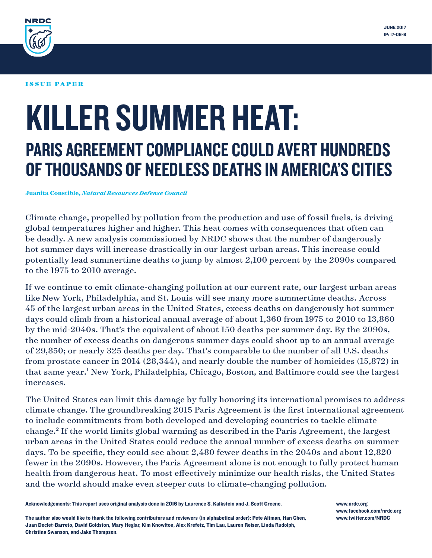

#### ISSUE PAPER

# KILLER SUMMER HEAT: PARIS AGREEMENT COMPLIANCE COULD AVERT HUNDREDS OF THOUSANDS OF NEEDLESS DEATHS IN AMERICA'S CITIES

#### **Juanita Constible,** *Natural Resources Defense Council*

Climate change, propelled by pollution from the production and use of fossil fuels, is driving global temperatures higher and higher. This heat comes with consequences that often can be deadly. A new analysis commissioned by NRDC shows that the number of dangerously hot summer days will increase drastically in our largest urban areas. This increase could potentially lead summertime deaths to jump by almost 2,100 percent by the 2090s compared to the 1975 to 2010 average.

If we continue to emit climate-changing pollution at our current rate, our largest urban areas like New York, Philadelphia, and St. Louis will see many more summertime deaths. Across 45 of the largest urban areas in the United States, excess deaths on dangerously hot summer days could climb from a historical annual average of about 1,360 from 1975 to 2010 to 13,860 by the mid-2040s. That's the equivalent of about 150 deaths per summer day. By the 2090s, the number of excess deaths on dangerous summer days could shoot up to an annual average of 29,850; or nearly 325 deaths per day. That's comparable to the number of all U.S. deaths from prostate cancer in 2014 (28,344), and nearly double the number of homicides (15,872) in that same year.<sup>1</sup> New York, Philadelphia, Chicago, Boston, and Baltimore could see the largest increases.

The United States can limit this damage by fully honoring its international promises to address climate change. The groundbreaking 2015 Paris Agreement is the first international agreement to include commitments from both developed and developing countries to tackle climate change.2 If the world limits global warming as described in the Paris Agreement, the largest urban areas in the United States could reduce the annual number of excess deaths on summer days. To be specific, they could see about 2,480 fewer deaths in the 2040s and about 12,820 fewer in the 2090s. However, the Paris Agreement alone is not enough to fully protect human health from dangerous heat. To most effectively minimize our health risks, the United States and the world should make even steeper cuts to climate-changing pollution.

Acknowledgements: This report uses original analysis done in 2016 by Laurence S. Kalkstein and J. Scott Greene.

The author also would like to thank the following contributors and reviewers (in alphabetical order): Pete Altman, Han Chen, Juan Declet-Barreto, David Goldston, Mary Heglar, Kim Knowlton, Alex Krefetz, Tim Lau, Lauren Reiser, Linda Rudolph, Christina Swanson, and Jake Thompson.

www.nrdc.org www.facebook.com/nrdc.org www.twitter.com/NRDC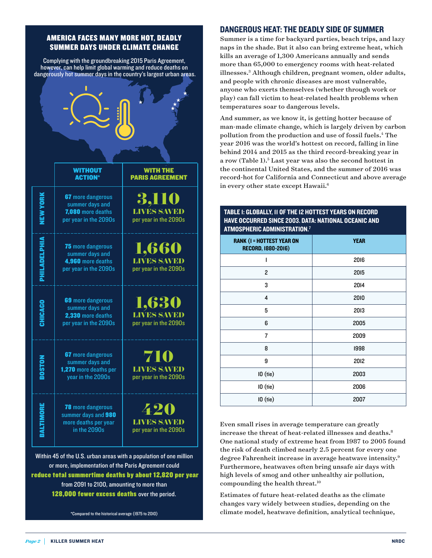#### AMERICA FACES MANY MORE HOT, DEADLY SUMMER DAYS UNDER CLIMATE CHANGE

Complying with the groundbreaking 2015 Paris Agreement, however, can help limit global warming and reduce deaths on dangerously hot summer days in the country's largest urban areas.

|                                                                    | <b>WITHOUT</b><br><b>ACTION*</b>                                                          | <b>WITH THE</b><br><b>PARIS AGREEMENT</b>            |  |  |  |
|--------------------------------------------------------------------|-------------------------------------------------------------------------------------------|------------------------------------------------------|--|--|--|
| NEW YORK                                                           | <b>67</b> more dangerous<br>summer days and<br>7,080 more deaths<br>per year in the 2090s | <b>LIVES SAVED</b><br>per year in the 2090s          |  |  |  |
| PHILADELPHIA                                                       | 75 more dangerous<br>summer days and<br>4,960 more deaths<br>per year in the 2090s        | 1,660<br><b>LIVES SAVED</b><br>per year in the 2090s |  |  |  |
| CHICAGO                                                            | 69 more dangerous<br>summer days and<br>2,330 more deaths<br>per year in the 2090s        | ,630<br>LIVES SAVED<br>per year in the 2090s         |  |  |  |
|                                                                    | 67 more dangerous<br>summer days and<br>1,270 more deaths per<br>year in the 2090s        | 710<br><b>LIVES SAVED</b><br>per year in the 2090s   |  |  |  |
| <b>BALTIMORE</b>                                                   | <b>78</b> more dangerous<br>summer days and 980<br>more deaths per year<br>in the 2090s   | 420<br><b>LIVES SAVED</b><br>per year in the 2090s   |  |  |  |
| Within 45 of the U.S. urban areas with a population of one million |                                                                                           |                                                      |  |  |  |

or more, implementation of the Paris Agreement could reduce total summertime deaths by about 12,820 per year from 2091 to 2100, amounting to more than 128,000 fewer excess deaths over the period.

\*Compared to the historical average (1975 to 2010)

#### DANGEROUS HEAT: THE DEADLY SIDE OF SUMMER

Summer is a time for backyard parties, beach trips, and lazy naps in the shade. But it also can bring extreme heat, which kills an average of 1,300 Americans annually and sends more than 65,000 to emergency rooms with heat-related illnesses.3 Although children, pregnant women, older adults, and people with chronic diseases are most vulnerable, anyone who exerts themselves (whether through work or play) can fall victim to heat-related health problems when temperatures soar to dangerous levels.

And summer, as we know it, is getting hotter because of man-made climate change, which is largely driven by carbon pollution from the production and use of fossil fuels.<sup>4</sup> The year 2016 was the world's hottest on record, falling in line behind 2014 and 2015 as the third record-breaking year in a row (Table 1).<sup>5</sup> Last year was also the second hottest in the continental United States, and the summer of 2016 was record-hot for California and Connecticut and above average in every other state except Hawaii.<sup>6</sup>

| AI MUSPHERIC ADMINISTRATION."                          |             |  |  |  |
|--------------------------------------------------------|-------------|--|--|--|
| <b>RANK (I = HOTTEST YEAR ON</b><br>RECORD, 1880-2016) | <b>YEAR</b> |  |  |  |
| 1                                                      | 2016        |  |  |  |
| $\mathbf{2}$                                           | 2015        |  |  |  |
| 3                                                      | 2014        |  |  |  |
| 4                                                      | 2010        |  |  |  |
| 5                                                      | 2013        |  |  |  |
| 6                                                      | 2005        |  |  |  |
| 7                                                      | 2009        |  |  |  |
| 8                                                      | 1998        |  |  |  |
| 9                                                      | 2012        |  |  |  |
| $10$ (tie)                                             | 2003        |  |  |  |
| $10$ (tie)                                             | 2006        |  |  |  |
| $10$ (tie)                                             | 2007        |  |  |  |

Even small rises in average temperature can greatly increase the threat of heat-related illnesses and deaths.<sup>8</sup> One national study of extreme heat from 1987 to 2005 found the risk of death climbed nearly 2.5 percent for every one degree Fahrenheit increase in average heatwave intensity.9 Furthermore, heatwaves often bring unsafe air days with high levels of smog and other unhealthy air pollution, compounding the health threat.10

Estimates of future heat-related deaths as the climate changes vary widely between studies, depending on the climate model, heatwave definition, analytical technique,

#### TABLE 1: GLOBALLY, 11 OF THE 12 HOTTEST YEARS ON RECORD HAVE OCCURRED SINCE 2003. DATA: NATIONAL OCEANIC AND ATMOSPHERIC ADMINISTRATION.7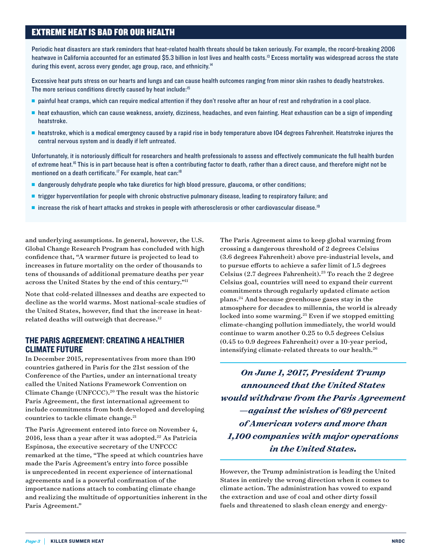#### EXTREME HEAT IS BAD FOR OUR HEALTH

Periodic heat disasters are stark reminders that heat-related health threats should be taken seriously. For example, the record-breaking 2006 heatwave in California accounted for an estimated \$5.3 billion in lost lives and health costs.<sup>13</sup> Excess mortality was widespread across the state during this event, across every gender, age group, race, and ethnicity.<sup>14</sup>

Excessive heat puts stress on our hearts and lungs and can cause health outcomes ranging from minor skin rashes to deadly heatstrokes. The more serious conditions directly caused by heat include:<sup>15</sup>

- <sup>n</sup> painful heat cramps, which can require medical attention if they don't resolve after an hour of rest and rehydration in a cool place.
- <sup>n</sup> heat exhaustion, which can cause weakness, anxiety, dizziness, headaches, and even fainting. Heat exhaustion can be a sign of impending heatstroke.
- <sup>n</sup> heatstroke, which is a medical emergency caused by a rapid rise in body temperature above 104 degrees Fahrenheit. Heatstroke injures the central nervous system and is deadly if left untreated.

Unfortunately, it is notoriously difficult for researchers and health professionals to assess and effectively communicate the full health burden of extreme heat.<sup>16</sup> This is in part because heat is often a contributing factor to death, rather than a direct cause, and therefore might not be mentioned on a death certificate.<sup>17</sup> For example, heat can:<sup>18</sup>

- n dangerously dehydrate people who take diuretics for high blood pressure, glaucoma, or other conditions;
- <sup>n</sup> trigger hyperventilation for people with chronic obstructive pulmonary disease, leading to respiratory failure; and
- n increase the risk of heart attacks and strokes in people with atherosclerosis or other cardiovascular disease.<sup>19</sup>

and underlying assumptions. In general, however, the U.S. Global Change Research Program has concluded with high confidence that, "A warmer future is projected to lead to increases in future mortality on the order of thousands to tens of thousands of additional premature deaths per year across the United States by the end of this century."11

Note that cold-related illnesses and deaths are expected to decline as the world warms. Most national-scale studies of the United States, however, find that the increase in heatrelated deaths will outweigh that decrease.12

#### THE PARIS AGREEMENT: CREATING A HEALTHIER CLIMATE FUTURE

In December 2015, representatives from more than 190 countries gathered in Paris for the 21st session of the Conference of the Parties, under an international treaty called the United Nations Framework Convention on Climate Change (UNFCCC).<sup>20</sup> The result was the historic Paris Agreement, the first international agreement to include commitments from both developed and developing countries to tackle climate change.<sup>21</sup>

The Paris Agreement entered into force on November 4,  $2016$ , less than a year after it was adopted.<sup>22</sup> As Patricia Espinosa, the executive secretary of the UNFCCC remarked at the time, "The speed at which countries have made the Paris Agreement's entry into force possible is unprecedented in recent experience of international agreements and is a powerful confirmation of the importance nations attach to combating climate change and realizing the multitude of opportunities inherent in the Paris Agreement."

The Paris Agreement aims to keep global warming from crossing a dangerous threshold of 2 degrees Celsius (3.6 degrees Fahrenheit) above pre-industrial levels, and to pursue efforts to achieve a safer limit of 1.5 degrees Celsius  $(2.7$  degrees Fahrenheit).<sup>23</sup> To reach the 2 degree Celsius goal, countries will need to expand their current commitments through regularly updated climate action plans.24 And because greenhouse gases stay in the atmosphere for decades to millennia, the world is already locked into some warming.<sup>25</sup> Even if we stopped emitting climate-changing pollution immediately, the world would continue to warm another 0.25 to 0.5 degrees Celsius (0.45 to 0.9 degrees Fahrenheit) over a 10-year period, intensifying climate-related threats to our health.<sup>26</sup>

*On June 1, 2017, President Trump announced that the United States would withdraw from the Paris Agreement —against the wishes of 69 percent of American voters and more than 1,100 companies with major operations in the United States.*

However, the Trump administration is leading the United States in entirely the wrong direction when it comes to climate action. The administration has vowed to expand the extraction and use of coal and other dirty fossil fuels and threatened to slash clean energy and energy-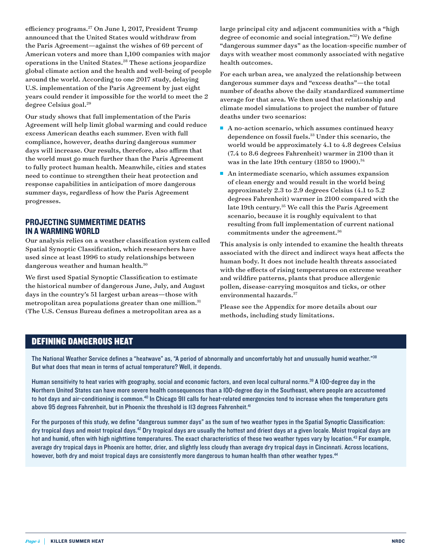efficiency programs.<sup>27</sup> On June 1, 2017, President Trump announced that the United States would withdraw from the Paris Agreement—against the wishes of 69 percent of American voters and more than 1,100 companies with major operations in the United States.28 These actions jeopardize global climate action and the health and well-being of people around the world. According to one 2017 study, delaying U.S. implementation of the Paris Agreement by just eight years could render it impossible for the world to meet the 2 degree Celsius goal.29

Our study shows that full implementation of the Paris Agreement will help limit global warming and could reduce excess American deaths each summer. Even with full compliance, however, deaths during dangerous summer days will increase. Our results, therefore, also affirm that the world must go much further than the Paris Agreement to fully protect human health. Meanwhile, cities and states need to continue to strengthen their heat protection and response capabilities in anticipation of more dangerous summer days, regardless of how the Paris Agreement progresses.

#### PROJECTING SUMMERTIME DEATHS IN A WARMING WORLD

Our analysis relies on a weather classification system called Spatial Synoptic Classification, which researchers have used since at least 1996 to study relationships between dangerous weather and human health.<sup>30</sup>

We first used Spatial Synoptic Classification to estimate the historical number of dangerous June, July, and August days in the country's 51 largest urban areas—those with metropolitan area populations greater than one million.<sup>31</sup> (The U.S. Census Bureau defines a metropolitan area as a

large principal city and adjacent communities with a "high degree of economic and social integration."32) We define "dangerous summer days" as the location-specific number of days with weather most commonly associated with negative health outcomes.

For each urban area, we analyzed the relationship between dangerous summer days and "excess deaths"—the total number of deaths above the daily standardized summertime average for that area. We then used that relationship and climate model simulations to project the number of future deaths under two scenarios:

- $\blacksquare$  A no-action scenario, which assumes continued heavy dependence on fossil fuels.<sup>33</sup> Under this scenario, the world would be approximately 4.1 to 4.8 degrees Celsius (7.4 to 8.6 degrees Fahrenheit) warmer in 2100 than it was in the late 19th century (1850 to 1900).<sup>34</sup>
- $\blacksquare$  An intermediate scenario, which assumes expansion of clean energy and would result in the world being approximately 2.3 to 2.9 degrees Celsius (4.1 to 5.2 degrees Fahrenheit) warmer in 2100 compared with the late 19th century.<sup>35</sup> We call this the Paris Agreement scenario, because it is roughly equivalent to that resulting from full implementation of current national commitments under the agreement.<sup>36</sup>

This analysis is only intended to examine the health threats associated with the direct and indirect ways heat affects the human body. It does not include health threats associated with the effects of rising temperatures on extreme weather and wildfire patterns, plants that produce allergenic pollen, disease-carrying mosquitos and ticks, or other environmental hazards.<sup>37</sup>

Please see the Appendix for more details about our methods, including study limitations.

#### DEFINING DANGEROUS HEAT

The National Weather Service defines a "heatwave" as, "A period of abnormally and uncomfortably hot and unusually humid weather."38 But what does that mean in terms of actual temperature? Well, it depends.

Human sensitivity to heat varies with geography, social and economic factors, and even local cultural norms.<sup>39</sup> A IOO-degree day in the Northern United States can have more severe health consequences than a 100-degree day in the Southeast, where people are accustomed to hot days and air-conditioning is common.<sup>40</sup> In Chicago 9II calls for heat-related emergencies tend to increase when the temperature gets above 95 degrees Fahrenheit, but in Phoenix the threshold is II3 degrees Fahrenheit.<sup>41</sup>

For the purposes of this study, we define "dangerous summer days" as the sum of two weather types in the Spatial Synoptic Classification: dry tropical days and moist tropical days.<sup>42</sup> Dry tropical days are usually the hottest and driest days at a given locale. Moist tropical days are hot and humid, often with high nighttime temperatures. The exact characteristics of these two weather types vary by location.<sup>43</sup> For example, average dry tropical days in Phoenix are hotter, drier, and slightly less cloudy than average dry tropical days in Cincinnati. Across locations, however, both dry and moist tropical days are consistently more dangerous to human health than other weather types.<sup>44</sup>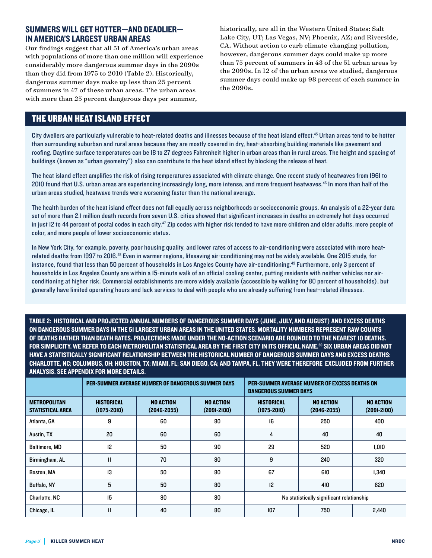#### SUMMERS WILL GET HOTTER—AND DEADLIER— IN AMERICA'S LARGEST URBAN AREAS

Our findings suggest that all 51 of America's urban areas with populations of more than one million will experience considerably more dangerous summer days in the 2090s than they did from 1975 to 2010 (Table 2). Historically, dangerous summer days make up less than 25 percent of summers in 47 of these urban areas. The urban areas with more than 25 percent dangerous days per summer,

historically, are all in the Western United States: Salt Lake City, UT; Las Vegas, NV; Phoenix, AZ; and Riverside, CA. Without action to curb climate-changing pollution, however, dangerous summer days could make up more than 75 percent of summers in 43 of the 51 urban areas by the 2090s. In 12 of the urban areas we studied, dangerous summer days could make up 98 percent of each summer in the 2090s.

#### THE URBAN HEAT ISLAND EFFECT

City dwellers are particularly vulnerable to heat-related deaths and illnesses because of the heat island effect.45 Urban areas tend to be hotter than surrounding suburban and rural areas because they are mostly covered in dry, heat-absorbing building materials like pavement and roofing. Daytime surface temperatures can be 18 to 27 degrees Fahrenheit higher in urban areas than in rural areas. The height and spacing of buildings (known as "urban geometry") also can contribute to the heat island effect by blocking the release of heat.

The heat island effect amplifies the risk of rising temperatures associated with climate change. One recent study of heatwaves from 1961 to 2010 found that U.S. urban areas are experiencing increasingly long, more intense, and more frequent heatwaves.46 In more than half of the urban areas studied, heatwave trends were worsening faster than the national average.

The health burden of the heat island effect does not fall equally across neighborhoods or socioeconomic groups. An analysis of a 22-year data set of more than 2.1 million death records from seven U.S. cities showed that significant increases in deaths on extremely hot days occurred in just 12 to 44 percent of postal codes in each city.<sup>47</sup> Zip codes with higher risk tended to have more children and older adults, more people of color, and more people of lower socioeconomic status.

In New York City, for example, poverty, poor housing quality, and lower rates of access to air-conditioning were associated with more heatrelated deaths from 1997 to 2016.<sup>48</sup> Even in warmer regions, lifesaving air-conditioning may not be widely available. One 2015 study, for instance, found that less than 50 percent of households in Los Angeles County have air-conditioning.<sup>49</sup> Furthermore, only 3 percent of households in Los Angeles County are within a 15-minute walk of an official cooling center, putting residents with neither vehicles nor airconditioning at higher risk. Commercial establishments are more widely available (accessible by walking for 80 percent of households), but generally have limited operating hours and lack services to deal with people who are already suffering from heat-related illnesses.

TABLE 2: HISTORICAL AND PROJECTED ANNUAL NUMBERS OF DANGEROUS SUMMER DAYS (JUNE, JULY, AND AUGUST) AND EXCESS DEATHS ON DANGEROUS SUMMER DAYS IN THE 51 LARGEST URBAN AREAS IN THE UNITED STATES. MORTALITY NUMBERS REPRESENT RAW COUNTS OF DEATHS RATHER THAN DEATH RATES. PROJECTIONS MADE UNDER THE NO-ACTION SCENARIO ARE ROUNDED TO THE NEAREST 10 DEATHS. FOR SIMPLICITY, WE REFER TO EACH METROPOLITAN STATISTICAL AREA BY THE FIRST CITY IN ITS OFFICIAL NAME.50 SIX URBAN AREAS DID NOT HAVE A STATISTICALLY SIGNIFICANT RELATIONSHIP BETWEEN THE HISTORICAL NUMBER OF DANGEROUS SUMMER DAYS AND EXCESS DEATHS: CHARLOTTE, NC; COLUMBUS, OH; HOUSTON, TX; MIAMI, FL; SAN DIEGO, CA; AND TAMPA, FL. THEY WERE THEREFORE EXCLUDED FROM FURTHER ANALYSIS. SEE APPENDIX FOR MORE DETAILS.

|                                                | PER-SUMMER AVERAGE NUMBER OF DANGEROUS SUMMER DAYS |                                     |                                     | PER-SUMMER AVERAGE NUMBER OF EXCESS DEATHS ON<br>DANGEROUS SUMMER DAYS |                                     |                                     |
|------------------------------------------------|----------------------------------------------------|-------------------------------------|-------------------------------------|------------------------------------------------------------------------|-------------------------------------|-------------------------------------|
| <b>METROPOLITAN</b><br><b>STATISTICAL AREA</b> | <b>HISTORICAL</b><br>$(1975 - 2010)$               | <b>NO ACTION</b><br>$(2046 - 2055)$ | <b>NO ACTION</b><br>$(2091 - 2100)$ | <b>HISTORICAL</b><br>$(1975 - 2010)$                                   | <b>NO ACTION</b><br>$(2046 - 2055)$ | <b>NO ACTION</b><br>$(2091 - 2100)$ |
| Atlanta, GA                                    | 9                                                  | 60                                  | 80                                  | 16                                                                     | 250                                 | 400                                 |
| Austin, TX                                     | 20                                                 | 60                                  | 60                                  | 4                                                                      | 40                                  | 40                                  |
| <b>Baltimore, MD</b>                           | 12                                                 | 50                                  | 90                                  | 29                                                                     | 520                                 | 1,010                               |
| Birmingham, AL                                 | $\mathbf{II}$                                      | 70                                  | 80                                  | 9                                                                      | 240                                 | 320                                 |
| <b>Boston, MA</b>                              | 13                                                 | 50                                  | 80                                  | 67                                                                     | 610                                 | 1,340                               |
| <b>Buffalo, NY</b>                             | 5                                                  | 50                                  | 80                                  | 12                                                                     | 410                                 | 620                                 |
| <b>Charlotte, NC</b>                           | 15                                                 | 80                                  | 80                                  | No statistically significant relationship                              |                                     |                                     |
| Chicago, IL                                    | $\mathbf{II}$                                      | 40                                  | 80                                  | 107                                                                    | 750                                 | 2,440                               |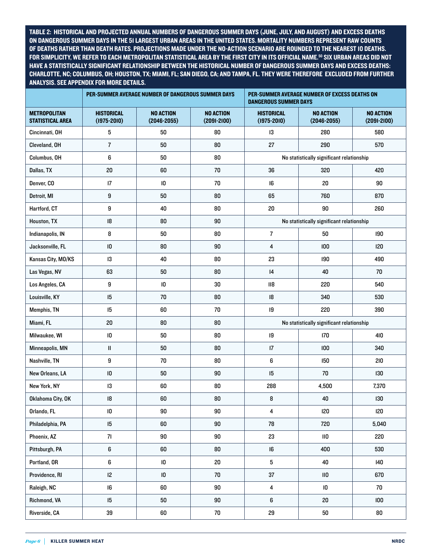TABLE 2: HISTORICAL AND PROJECTED ANNUAL NUMBERS OF DANGEROUS SUMMER DAYS (JUNE, JULY, AND AUGUST) AND EXCESS DEATHS ON DANGEROUS SUMMER DAYS IN THE 51 LARGEST URBAN AREAS IN THE UNITED STATES. MORTALITY NUMBERS REPRESENT RAW COUNTS OF DEATHS RATHER THAN DEATH RATES. PROJECTIONS MADE UNDER THE NO-ACTION SCENARIO ARE ROUNDED TO THE NEAREST 10 DEATHS. FOR SIMPLICITY, WE REFER TO EACH METROPOLITAN STATISTICAL AREA BY THE FIRST CITY IN ITS OFFICIAL NAME.<sup>50</sup> SIX URBAN AREAS DID NOT HAVE A STATISTICALLY SIGNIFICANT RELATIONSHIP BETWEEN THE HISTORICAL NUMBER OF DANGEROUS SUMMER DAYS AND EXCESS DEATHS: CHARLOTTE, NC; COLUMBUS, OH; HOUSTON, TX; MIAMI, FL; SAN DIEGO, CA; AND TAMPA, FL. THEY WERE THEREFORE EXCLUDED FROM FURTHER ANALYSIS. SEE APPENDIX FOR MORE DETAILS.

|                                                | PER-SUMMER AVERAGE NUMBER OF DANGEROUS SUMMER DAYS |                                     |                                     | PER-SUMMER AVERAGE NUMBER OF EXCESS DEATHS ON<br><b>DANGEROUS SUMMER DAYS</b> |                                           |                                     |
|------------------------------------------------|----------------------------------------------------|-------------------------------------|-------------------------------------|-------------------------------------------------------------------------------|-------------------------------------------|-------------------------------------|
| <b>METROPOLITAN</b><br><b>STATISTICAL AREA</b> | <b>HISTORICAL</b><br>$(1975 - 2010)$               | <b>NO ACTION</b><br>$(2046 - 2055)$ | <b>NO ACTION</b><br>$(2091 - 2100)$ | <b>HISTORICAL</b><br>$(1975 - 2010)$                                          | <b>NO ACTION</b><br>$(2046 - 2055)$       | <b>NO ACTION</b><br>$(2091 - 2100)$ |
| Cincinnati, OH                                 | 5                                                  | 50                                  | 80                                  | 13                                                                            | 280                                       | 580                                 |
| Cleveland, OH                                  | $\overline{7}$                                     | 50                                  | 80                                  | 27                                                                            | 290                                       | 570                                 |
| Columbus, OH                                   | 6                                                  | 50                                  | 80                                  |                                                                               | No statistically significant relationship |                                     |
| Dallas, TX                                     | 20                                                 | 60                                  | 70                                  | 36                                                                            | 320                                       | 420                                 |
| Denver, CO                                     | $\sqrt{17}$                                        | ${\sf I0}$                          | 70                                  | 16                                                                            | 20                                        | 90                                  |
| Detroit, MI                                    | $\boldsymbol{9}$                                   | 50                                  | 80                                  | 65                                                                            | 760                                       | 870                                 |
| Hartford, CT                                   | 9                                                  | 40                                  | 80                                  | 20                                                                            | 90                                        | 260                                 |
| Houston, TX                                    | 18                                                 | 80                                  | 90                                  | No statistically significant relationship                                     |                                           |                                     |
| Indianapolis, IN                               | 8                                                  | 50                                  | 80                                  | $\overline{7}$                                                                | 50                                        | 190                                 |
| Jacksonville, FL                               | ${\sf I0}$                                         | 80                                  | 90                                  | 4                                                                             | 100                                       | 120                                 |
| Kansas City, MO/KS                             | 13                                                 | 40                                  | 80                                  | 23                                                                            | 190                                       | 490                                 |
| Las Vegas, NV                                  | 63                                                 | 50                                  | 80                                  | 4                                                                             | 40                                        | 70                                  |
| Los Angeles, CA                                | $\boldsymbol{9}$                                   | ${\sf I0}$                          | 30                                  | $\overline{118}$                                                              | 220                                       | 540                                 |
| Louisville, KY                                 | 15                                                 | 70                                  | 80                                  | 18                                                                            | 340                                       | 530                                 |
| Memphis, TN                                    | 15                                                 | 60                                  | 70                                  | 19                                                                            | 220                                       | 390                                 |
| Miami, FL                                      | 20                                                 | 80                                  | 80                                  | No statistically significant relationship                                     |                                           |                                     |
| Milwaukee, WI                                  | $\mathsf{I}0$                                      | 50                                  | 80                                  | 19                                                                            | 170                                       | 410                                 |
| Minneapolis, MN                                | $\mathop{  }$                                      | 50                                  | 80                                  | $\sqrt{17}$                                                                   | 100                                       | 340                                 |
| Nashville, TN                                  | 9                                                  | 70                                  | 80                                  | 6                                                                             | 150                                       | 210                                 |
| New Orleans, LA                                | ${\sf I0}$                                         | 50                                  | 90                                  | 15                                                                            | 70                                        | 130                                 |
| New York, NY                                   | 13                                                 | 60                                  | 80                                  | 288                                                                           | 4,500                                     | 7,370                               |
| Oklahoma City, OK                              | 18                                                 | 60                                  | 80                                  | 8                                                                             | 40                                        | 130                                 |
| Orlando, FL                                    | $\overline{10}$                                    | 90                                  | 90                                  | 4                                                                             | 120                                       | 120                                 |
| Philadelphia, PA                               | 15                                                 | 60                                  | $90\,$                              | 78                                                                            | 720                                       | 5,040                               |
| Phoenix, AZ                                    | 71                                                 | 90                                  | $90\,$                              | 23                                                                            | $\mathsf{II0}$                            | 220                                 |
| Pittsburgh, PA                                 | $\boldsymbol{6}$                                   | 60                                  | ${\bf 80}$                          | 16                                                                            | 400                                       | 530                                 |
| Portland, OR                                   | $\boldsymbol{6}$                                   | $\overline{10}$                     | $20\,$                              | $\mathbf 5$                                                                   | 40                                        | 140                                 |
| Providence, RI                                 | 12                                                 | $\overline{10}$                     | 70                                  | 37                                                                            | $\mathsf{II0}$                            | 670                                 |
| Raleigh, NC                                    | 16                                                 | 60                                  | $90\,$                              | $\overline{\mathbf{4}}$                                                       | $\overline{10}$                           | 70                                  |
| Richmond, VA                                   | 15                                                 | 50                                  | $90\,$                              | $\boldsymbol{6}$                                                              | $20\,$                                    | 100                                 |
| Riverside, CA                                  | $39\,$                                             | 60                                  | 70                                  | 29                                                                            | 50                                        | 80                                  |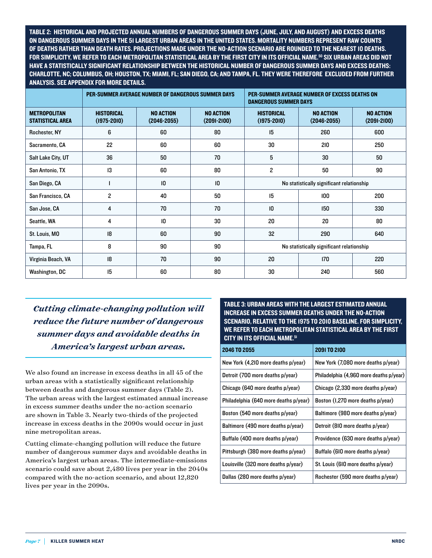TABLE 2: HISTORICAL AND PROJECTED ANNUAL NUMBERS OF DANGEROUS SUMMER DAYS (JUNE, JULY, AND AUGUST) AND EXCESS DEATHS ON DANGEROUS SUMMER DAYS IN THE 51 LARGEST URBAN AREAS IN THE UNITED STATES. MORTALITY NUMBERS REPRESENT RAW COUNTS OF DEATHS RATHER THAN DEATH RATES. PROJECTIONS MADE UNDER THE NO-ACTION SCENARIO ARE ROUNDED TO THE NEAREST 10 DEATHS. FOR SIMPLICITY, WE REFER TO EACH METROPOLITAN STATISTICAL AREA BY THE FIRST CITY IN ITS OFFICIAL NAME.50 SIX URBAN AREAS DID NOT HAVE A STATISTICALLY SIGNIFICANT RELATIONSHIP BETWEEN THE HISTORICAL NUMBER OF DANGEROUS SUMMER DAYS AND EXCESS DEATHS: CHARLOTTE, NC; COLUMBUS, OH; HOUSTON, TX; MIAMI, FL; SAN DIEGO, CA; AND TAMPA, FL. THEY WERE THEREFORE EXCLUDED FROM FURTHER ANALYSIS. SEE APPENDIX FOR MORE DETAILS.

|                                                | PER-SUMMER AVERAGE NUMBER OF DANGEROUS SUMMER DAYS |                                     |                                     | PER-SUMMER AVERAGE NUMBER OF EXCESS DEATHS ON<br><b>DANGEROUS SUMMER DAYS</b> |                                     |                                     |
|------------------------------------------------|----------------------------------------------------|-------------------------------------|-------------------------------------|-------------------------------------------------------------------------------|-------------------------------------|-------------------------------------|
| <b>METROPOLITAN</b><br><b>STATISTICAL AREA</b> | <b>HISTORICAL</b><br>$(1975 - 2010)$               | <b>NO ACTION</b><br>$(2046 - 2055)$ | <b>NO ACTION</b><br>$(2091 - 2100)$ | <b>HISTORICAL</b><br>$(1975 - 2010)$                                          | <b>NO ACTION</b><br>$(2046 - 2055)$ | <b>NO ACTION</b><br>$(2091 - 2100)$ |
| Rochester, NY                                  | 6                                                  | 60                                  | 80                                  | 15                                                                            | 260                                 | 600                                 |
| Sacramento, CA                                 | 22                                                 | 60                                  | 60                                  | 30                                                                            | 210                                 | 250                                 |
| Salt Lake City, UT                             | 36                                                 | 50                                  | 70                                  | 5                                                                             | 30                                  | 50                                  |
| San Antonio, TX                                | 13                                                 | 60                                  | 80                                  | $\overline{c}$                                                                | 50                                  | 90                                  |
| San Diego, CA                                  |                                                    | $\overline{10}$                     | $\overline{10}$                     | No statistically significant relationship                                     |                                     |                                     |
| San Francisco, CA                              | $\overline{c}$                                     | 40                                  | 50                                  | 15                                                                            | 100                                 | 200                                 |
| San Jose, CA                                   | 4                                                  | 70                                  | 70                                  | $\overline{10}$                                                               | 150                                 | 330                                 |
| Seattle, WA                                    | 4                                                  | $\mathsf{I}0$                       | 30                                  | 20                                                                            | 20                                  | 80                                  |
| St. Louis, MO                                  | 8                                                  | 60                                  | 90                                  | 32                                                                            | 290                                 | 640                                 |
| Tampa, FL                                      | 8                                                  | 90                                  | 90                                  | No statistically significant relationship                                     |                                     |                                     |
| Virginia Beach, VA                             | 8                                                  | 70                                  | 90                                  | 20                                                                            | 170                                 | 220                                 |
| <b>Washington, DC</b>                          | 15                                                 | 60                                  | 80                                  | 30                                                                            | 240                                 | 560                                 |

*Cutting climate-changing pollution will reduce the future number of dangerous summer days and avoidable deaths in America's largest urban areas.*

We also found an increase in excess deaths in all 45 of the urban areas with a statistically significant relationship between deaths and dangerous summer days (Table 2). The urban areas with the largest estimated annual increase in excess summer deaths under the no-action scenario are shown in Table 3. Nearly two-thirds of the projected increase in excess deaths in the 2090s would occur in just nine metropolitan areas.

Cutting climate-changing pollution will reduce the future number of dangerous summer days and avoidable deaths in America's largest urban areas. The intermediate-emissions scenario could save about 2,480 lives per year in the 2040s compared with the no-action scenario, and about 12,820 lives per year in the 2090s.

TABLE 3: URBAN AREAS WITH THE LARGEST ESTIMATED ANNUAL INCREASE IN EXCESS SUMMER DEATHS UNDER THE NO-ACTION SCENARIO, RELATIVE TO THE 1975 TO 2010 BASELINE. FOR SIMPLICITY, WE REFER TO EACH METROPOLITAN STATISTICAL AREA BY THE FIRST CITY IN ITS OFFICIAL NAME.51

| <b>2046 TO 2055</b>                   | <b>2091TO 2100</b>                      |
|---------------------------------------|-----------------------------------------|
| New York (4,210 more deaths p/year)   | New York (7,080 more deaths p/year)     |
| Detroit (700 more deaths p/year)      | Philadelphia (4,960 more deaths p/year) |
| Chicago (640 more deaths p/year)      | Chicago (2,330 more deaths p/year)      |
| Philadelphia (640 more deaths p/year) | Boston (1,270 more deaths p/year)       |
| Boston (540 more deaths p/year)       | Baltimore (980 more deaths p/year)      |
| Baltimore (490 more deaths p/year)    | Detroit (810 more deaths p/year)        |
| Buffalo (400 more deaths p/year)      | Providence (630 more deaths p/year)     |
| Pittsburgh (380 more deaths p/year)   | Buffalo (610 more deaths p/year)        |
| Louisville (320 more deaths p/year)   | St. Louis (610 more deaths p/year)      |
| Dallas (280 more deaths p/year)       | Rochester (590 more deaths p/year)      |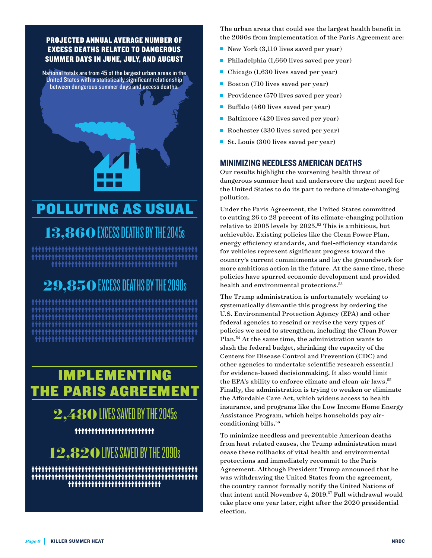#### PROJECTED ANNUAL AVERAGE NUMBER OF EXCESS DEATHS RELATED TO DANGEROUS SUMMER DAYS IN JUNE, JULY, AND AUGUST

National totals are from 45 of the largest urban areas in the United States with a statistically significant relationship between dangerous summer days and excess deaths.

## POLLUTING AS USUAL

**13,860** EXCESS DEATHS BY THE 2045s 

## **29,850** EXCESS DEATHS BY THE 2090s

## IMPLEMENTING THE PARIS AGREEMENT

## **2,480** LIVES SAVED BY THE 2045s

## **12,820** LIVES SAVED BY THE 2090s \*\*\*\*\*\*\*\*\*\*\*\*\*\*\*\*\*\*\*\*\*\*\*\*\*\*\*\*\*\*\*\*\*\*\*\*\*

The urban areas that could see the largest health benefit in the 2090s from implementation of the Paris Agreement are:

- New York (3,110 lives saved per year)
- $\blacksquare$  Philadelphia (1,660 lives saved per year)
- $\blacksquare$  Chicago (1,630 lives saved per year)
- Boston (710 lives saved per year)
- Providence (570 lives saved per year)
- Buffalo (460 lives saved per year)
- Baltimore (420 lives saved per year)
- Rochester (330 lives saved per year)
- St. Louis (300 lives saved per year)

#### MINIMIZING NEEDLESS AMERICAN DEATHS

Our results highlight the worsening health threat of dangerous summer heat and underscore the urgent need for the United States to do its part to reduce climate-changing pollution.

Under the Paris Agreement, the United States committed to cutting 26 to 28 percent of its climate-changing pollution relative to 2005 levels by  $2025$ <sup>52</sup> This is ambitious, but achievable. Existing policies like the Clean Power Plan, energy efficiency standards, and fuel-efficiency standards for vehicles represent significant progress toward the country's current commitments and lay the groundwork for more ambitious action in the future. At the same time, these policies have spurred economic development and provided health and environmental protections.<sup>53</sup>

The Trump administration is unfortunately working to systematically dismantle this progress by ordering the U.S. Environmental Protection Agency (EPA) and other federal agencies to rescind or revise the very types of policies we need to strengthen, including the Clean Power Plan.54 At the same time, the administration wants to slash the federal budget, shrinking the capacity of the Centers for Disease Control and Prevention (CDC) and other agencies to undertake scientific research essential for evidence-based decisionmaking. It also would limit the EPA's ability to enforce climate and clean-air laws.<sup>55</sup> Finally, the administration is trying to weaken or eliminate the Affordable Care Act, which widens access to health insurance, and programs like the Low Income Home Energy Assistance Program, which helps households pay airconditioning bills.<sup>56</sup>

To minimize needless and preventable American deaths from heat-related causes, the Trump administration must cease these rollbacks of vital health and environmental protections and immediately recommit to the Paris Agreement. Although President Trump announced that he was withdrawing the United States from the agreement, the country cannot formally notify the United Nations of that intent until November 4, 2019.57 Full withdrawal would take place one year later, right after the 2020 presidential election.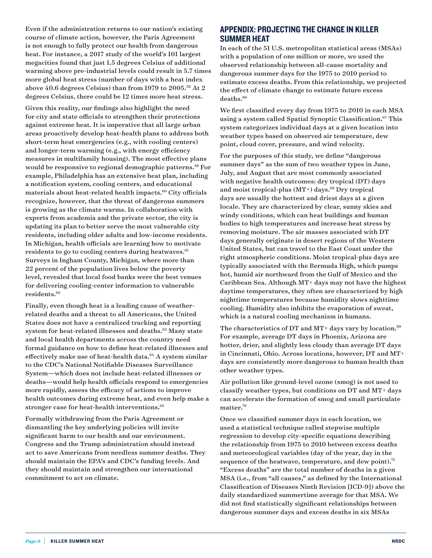Even if the administration returns to our nation's existing course of climate action, however, the Paris Agreement is not enough to fully protect our health from dangerous heat. For instance, a 2017 study of the world's 101 largest megacities found that just 1.5 degrees Celsius of additional warming above pre-industrial levels could result in 5.7 times more global heat stress (number of days with a heat index above 40.6 degrees Celsius) than from 1979 to 2005.58 At 2 degrees Celsius, there could be 12 times more heat stress.

Given this reality, our findings also highlight the need for city and state officials to strengthen their protections against extreme heat. It is imperative that all large urban areas proactively develop heat-health plans to address both short-term heat emergencies (e.g., with cooling centers) and longer-term warming (e.g., with energy efficiency measures in multifamily housing). The most effective plans would be responsive to regional demographic patterns.<sup>59</sup> For example, Philadelphia has an extensive heat plan, including a notification system, cooling centers, and educational materials about heat-related health impacts. $60$  City officials recognize, however, that the threat of dangerous summers is growing as the climate warms. In collaboration with experts from academia and the private sector, the city is updating its plan to better serve the most vulnerable city residents, including older adults and low-income residents. In Michigan, health officials are learning how to motivate residents to go to cooling centers during heatwaves.<sup>61</sup> Surveys in Ingham County, Michigan, where more than 22 percent of the population lives below the poverty level, revealed that local food banks were the best venues for delivering cooling-center information to vulnerable residents.62

Finally, even though heat is a leading cause of weatherrelated deaths and a threat to all Americans, the United States does not have a centralized tracking and reporting system for heat-related illnesses and deaths.<sup>63</sup> Many state and local health departments across the country need formal guidance on how to define heat-related illnesses and effectively make use of heat-health data.<sup>64</sup> A system similar to the CDC's National Notifiable Diseases Surveillance System—which does not include heat-related illnesses or deaths—would help health officials respond to emergencies more rapidly, assess the efficacy of actions to improve health outcomes during extreme heat, and even help make a stronger case for heat-health interventions.<sup>65</sup>

Formally withdrawing from the Paris Agreement or dismantling the key underlying policies will invite significant harm to our health and our environment. Congress and the Trump administration should instead act to save Americans from needless summer deaths. They should maintain the EPA's and CDC's funding levels. And they should maintain and strengthen our international commitment to act on climate.

#### APPENDIX: PROJECTING THE CHANGE IN KILLER SUMMER HEAT

In each of the 51 U.S. metropolitan statistical areas (MSAs) with a population of one million or more, we used the observed relationship between all-cause mortality and dangerous summer days for the 1975 to 2010 period to estimate excess deaths. From this relationship, we projected the effect of climate change to estimate future excess deaths.<sup>66</sup>

We first classified every day from 1975 to 2010 in each MSA using a system called Spatial Synoptic Classification.<sup>67</sup> This system categorizes individual days at a given location into weather types based on observed air temperature, dew point, cloud cover, pressure, and wind velocity.

For the purposes of this study, we define "dangerous summer days" as the sum of two weather types in June, July, and August that are most commonly associated with negative health outcomes: dry tropical (DT) days and moist tropical-plus  $(MT<sup>+</sup>)$  days.<sup>68</sup> Dry tropical days are usually the hottest and driest days at a given locale. They are characterized by clear, sunny skies and windy conditions, which can heat buildings and human bodies to high temperatures and increase heat stress by removing moisture. The air masses associated with DT days generally originate in desert regions of the Western United States, but can travel to the East Coast under the right atmospheric conditions. Moist tropical-plus days are typically associated with the Bermuda High, which pumps hot, humid air northward from the Gulf of Mexico and the Caribbean Sea. Although MT+ days may not have the highest daytime temperatures, they often are characterized by high nighttime temperatures because humidity slows nighttime cooling. Humidity also inhibits the evaporation of sweat, which is a natural cooling mechanism in humans.

The characteristics of DT and MT+ days vary by location.<sup>69</sup> For example, average DT days in Phoenix, Arizona are hotter, drier, and slightly less cloudy than average DT days in Cincinnati, Ohio. Across locations, however, DT and MT+ days are consistently more dangerous to human health than other weather types.

Air pollution like ground-level ozone (smog) is not used to classify weather types, but conditions on DT and MT+ days can accelerate the formation of smog and small particulate matter.70

Once we classified summer days in each location, we used a statistical technique called stepwise multiple regression to develop city-specific equations describing the relationship from 1975 to 2010 between excess deaths and meteorological variables (day of the year, day in the sequence of the heatwave, temperature, and dew point).<sup>71</sup> "Excess deaths" are the total number of deaths in a given MSA (i.e., from "all causes," as defined by the International Classification of Diseases Ninth Revision [ICD-9]) above the daily standardized summertime average for that MSA. We did not find statistically significant relationships between dangerous summer days and excess deaths in six MSAs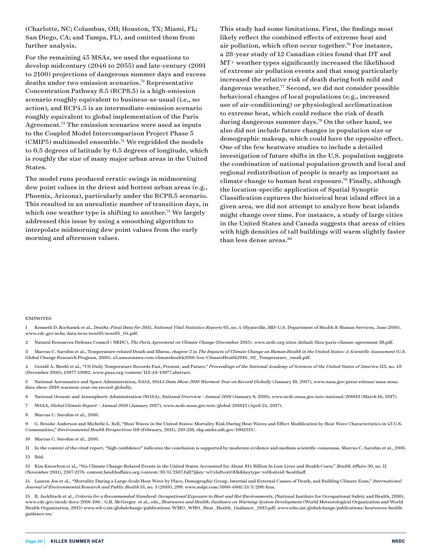(Charlotte, NC; Columbus, OH; Houston, TX; Miami, FL; San Diego, CA; and Tampa, FL), and omitted them from further analysis.

For the remaining 45 MSAs, we used the equations to develop midcentury (2046 to 2055) and late-century (2091 to 2100) projections of dangerous summer days and excess deaths under two emission scenarios.72 Representative Concentration Pathway 8.5 (RCP8.5) is a high-emission scenario roughly equivalent to business-as-usual (i.e., no action), and RCP4.5 is an intermediate-emission scenario roughly equivalent to global implementation of the Paris Agreement.73 The emission scenarios were used as inputs to the Coupled Model Intercomparison Project Phase 5 (CMIP5) multimodel ensemble.74 We regridded the models to 0.5 degrees of latitude by 0.5 degrees of longitude, which is roughly the size of many major urban areas in the United States.

The model runs produced erratic swings in midmorning dew point values in the driest and hottest urban areas (e.g., Phoenix, Arizona), particularly under the RCP8.5 scenario. This resulted in an unrealistic number of transition days, in which one weather type is shifting to another.<sup>75</sup> We largely addressed this issue by using a smoothing algorithm to interpolate midmorning dew point values from the early morning and afternoon values.

This study had some limitations. First, the findings most likely reflect the combined effects of extreme heat and air pollution, which often occur together.<sup>76</sup> For instance, a 28-year study of 12 Canadian cities found that DT and MT+ weather types significantly increased the likelihood of extreme air pollution events and that smog particularly increased the relative risk of death during both mild and dangerous weather.<sup>77</sup> Second, we did not consider possible behavioral changes of local populations (e.g., increased use of air-conditioning) or physiological acclimatization to extreme heat, which could reduce the risk of death during dangerous summer days.<sup>78</sup> On the other hand, we also did not include future changes in population size or demographic makeup, which could have the opposite effect. One of the few heatwave studies to include a detailed investigation of future shifts in the U.S. population suggests the combination of national population growth and local and regional redistribution of people is nearly as important as climate change to human heat exposure.79 Finally, although the location-specific application of Spatial Synoptic Classification captures the historical heat island effect in a given area, we did not attempt to analyze how heat islands might change over time. For instance, a study of large cities in the United States and Canada suggests that areas of cities with high densities of tall buildings will warm slightly faster than less dense areas.<sup>80</sup>

#### ENDNOTES

1 Kenneth D. Kochanek et al., *Deaths: Final Data for 2014*, *National Vital Statistics Reports* 65, no. 4 (Hyatsville, MD: U.S. Department of Health & Human Services, June 2016). [www.cdc.gov/nchs/data/nvsr/nvsr65/nvsr65\\_04.pdf](http://www.cdc.gov/nchs/data/nvsr/nvsr65/nvsr65_04.pdf).

2 Natural Resources Defense Council ( NRDC), *The Paris Agreement on Climate Change* (December 2015). [www.nrdc.org/sites/default/files/paris-climate-agreement-IB.pdf](http://www.nrdc.org/sites/default/files/paris-climate-agreement-IB.pdf).

3 Marcus C. Sarofim et al., Temperature-related Death and Illness, chapter 2 in *The Impacts of Climate Change on Human Health in the United States: A Scientific Assessment* (U.S. Global Change Research Program, 2016). [s3.amazonaws.com/climatehealth2016/low/ClimateHealth2016\\_02\\_Temperature\\_small.pdf.](http://s3.amazonaws.com/climatehealth2016/low/ClimateHealth2016_02_Temperature_small.pdf)

Gerald A. Meehl et al., "US Daily Temperature Records Past, Present, and Future," Proceedings of the National Academy of Sciences of the United States of America 113, no. 49 (December 2016), 13977-13982. [www.pnas.org/content/113/49/13977.abstract](http://www.pnas.org/content/113/49/13977.abstract).

5 National Aeronautics and Space Administration, *NASA, NOAA Data Show 2016 Warmest Year on Record Globally* (January 18, 2017), [www.nasa.gov/press-release/nasa-noaa](http://www.nasa.gov/press-release/nasa-noaa-data-show-2016-warmest-year-on-record-globally)[data-show-2016-warmest-year-on-record-globally.](http://www.nasa.gov/press-release/nasa-noaa-data-show-2016-warmest-year-on-record-globally)

6 National Oceanic and Atmospheric Administration (NOAA), *National Overview - Annual 2016* (January 9, 2016), [www.ncdc.noaa.gov/sotc/national/201613](http://www.ncdc.noaa.gov/sotc/national/201613) (March 16, 2017).

7 NOAA, *Global Climate Report – Annual 2016* (January 2017), [www.ncdc.noaa.gov/sotc/global/201613](https://www.ncdc.noaa.gov/sotc/global/201613) (April 24, 2017).

8 Marcus C. Sarofim et al., 2016.

9 G. Brooke Anderson and Michelle L. Bell, "Heat Waves in the United States: Mortality Risk During Heat Waves and Effect Modification by Heat Wave Characteristics in 43 U.S. Communities," *Environmental Health Perspectives* 119 (February, 2011), 210-218, [ehp.niehs.nih.gov/1002313/.](https://ehp.niehs.nih.gov/1002313/)

10 Marcus C. Sarofim et al., 2016.

11 In the context of the cited report, "high confidence" indicates the conclusion is supported by moderate evidence and medium scientific consensus. Marcus C. Sarofim et al., 2016.

12 Ibid*.*

13 Kim Knowlton et al., "Six Climate Change-Related Events in the United States Accounted for About \$14 Billion In Lost Lives and Health Costs," *Health Affairs* 30, no. 11 (November 2011), 2167-2176. [content.healthaffairs.org/content/30/11/2167.full?ijkey=wUzlufto4tODk&keytype=ref&siteid=healthaff](http://content.healthaffairs.org/content/30/11/2167.full?ijkey=wUzlufto4tODk&keytype=ref&siteid=healthaff).

14 Lauren Joe et al., "Mortality During a Large-Scale Heat Wave by Place, Demographic Group, Internal and External Causes of Death, and Building Climate Zone," *International Journal of Environmental Research and Public Health* 13, no. 3 (2016), 299. [www.mdpi.com/1660-4601/13/3/299/htm.](http://www.mdpi.com/1660-4601/13/3/299/htm)

15 B. Jacklitsch et al., *Criteria for a Recommended Standard: Occupational Exposure to Heat and Hot Environments*, (National Institute for Occupational Safety and Health, 2016), [www.cdc.gov/niosh/docs/2016-106/.](http://www.cdc.gov/niosh/docs/2016-106/) G.R. McGregor et al., eds., *Heatwaves and Health: Guidance on Warning-System Development* (World Meteorological Organization and World Health Organization, 2015) [www.wh o.int/globalchange/publications/WMO\\_WHO\\_Heat\\_Health\\_Guidance\\_2015.pdf](http://www.who.int/globalchange/publications/WMO_WHO_Heat_Health_Guidance_2015.pdf). www.who.int/globalchange/publications/heatwaves-healthguidance/en/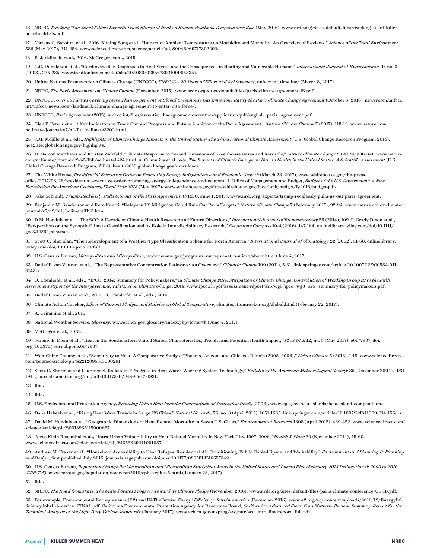16 NRDC, *Tracking 'The Silent Killer': Experts Track Effects of Heat on Human Health as Temperatures Rise* (May 2016). [www.nrdc.org/sites/default/files/tracking-silent-killer](https://www.nrdc.org/sites/default/files/tracking-silent-killer-heat-health-fs.pdf)[heat-health-fs.pdf.](https://www.nrdc.org/sites/default/files/tracking-silent-killer-heat-health-fs.pdf)

17 Marcus C. Sarofim et al., 2016. Xuping Song et al., "Impact of Ambient Temperature on Morbidity and Mortality: An Overview of Reviews," *Science of the Total Environment* 586 (May 2017), 241-254. [www.sciencedirect.com/science/article/pii/S0048969717302292](http://www.sciencedirect.com/science/article/pii/S0048969717302292).

18 B. Jacklitsch, et al., 2016. McGregor, et al., 2015.

19 G.C. Donaldson et al., "Cardiovascular Responses to Heat Stress and the Consequences in Healthy and Vulnerable Humans," *International Journal of Hyperthermia* 19, no. 3 (2003), 225-235. [www.tandfonline.com/doi/abs/10.1080/0265673021000058357.](http://www.tandfonline.com/doi/abs/10.1080/0265673021000058357)

20 United Nations Framework on Climate Change (UNFCCC), *UNFCCC – 20 Years of Effort and Achievement*, [unfccc.int/timeline/](http://unfccc.int/timeline/) (March 8, 2017).

21 NRDC, *The Paris Agreement on Climate Change* (December, 2015). [www.nrdc.org/sites/default/files/paris-climate-agreement-IB.pdf](http://www.nrdc.org/sites/default/files/paris-climate-agreement-IB.pdf).

22 UNFCCC, *Over 55 Parties Covering More Than 55 per cent of Global Greenhouse Gas Emissions Ratify the Paris Climate Change Agreement* (October 5, 2016), [newsroom.unfccc.](http://newsroom.unfccc.int/unfccc-newsroom/landmark-climate-change-agreement-to-enter-into-force/) [int/unfccc-newsroom/landmark-climate-change-agreement-to-enter-into-force/](http://newsroom.unfccc.int/unfccc-newsroom/landmark-climate-change-agreement-to-enter-into-force/).

23 UNFCCC, *Paris Agreement* (2015). [unfccc.int/files/essential\\_background/convention/application/pdf/english\\_paris\\_agreement.pdf.](http://unfccc.int/files/essential_background/convention/application/pdf/english_paris_agreement.pdf)

24 Glen P. Peters et al., "Key Indicators to Track Current Progress and Future Ambition of the Paris Agreement," *Nature Climate Change* 7 (2017), 118-12. [www.nature.com/](http://www.nature.com/nclimate/journal/v7/n2/full/nclimate3202.html) [nclimate/journal/v7/n2/full/nclimate3202.html](http://www.nature.com/nclimate/journal/v7/n2/full/nclimate3202.html).

25 J.M. Melillo et al., eds., *Highlights of Climate Change Impacts in the United States: The Third National Climate Assessment* (U.S. Global Change Research Program, 2014). [nca2014.globalchange.gov/highlights](http://nca2014.globalchange.gov/highlights).

26 H. Damon Matthews and Kirsten Zickfeld, "Climate Response to Zeroed Emissions of Greenhouse Gases and Aerosols," *Nature Climate Change* 2 (2012), 338-341. [www.nature.](http://www.nature.com/nclimate/journal/v2/n5/full/nclimate1424.html) [com/nclimate/journal/v2/n5/full/nclimate1424.html.](http://www.nature.com/nclimate/journal/v2/n5/full/nclimate1424.html) A. Crimmins et al., eds. *The Impacts of Climate Change on Human Health in the United States: A Scientific Assessment* (U.S. Global Change Research Program, 2016), [health2016.globalchange.gov/downloads](https://health2016.globalchange.gov/downloads).

27 The White House, *Presidential Executive Order on Promoting Energy Independence and Economic Growth* (March 28, 2017), [www.whitehouse.gov/the-press](http://www.whitehouse.gov/the-press-office/2017/03/28/presidential-executive-order-promoting-energy-independence-and-economi-1)[office/2017/03/28/presidential-executive-order-promoting-energy-independence-and-economi-1](http://www.whitehouse.gov/the-press-office/2017/03/28/presidential-executive-order-promoting-energy-independence-and-economi-1). Office of Management and Budget, *Budget of the U.S. Government: A New Foundation for American Greatness, Fiscal Year 2018* (May 2017). [www.whitehouse.gov/sites/whitehouse.gov/files/omb/budget/fy2018/budget.pdf.](http://www.whitehouse.gov/sites/whitehouse.gov/files/omb/budget/fy2018/budget.pdf)

28 Jake Schmidt, *Trump Recklessly Pulls U.S. out of the Paris Agreement*, (NRDC, June 1, 2017), [www.nrdc.org/experts/trump-recklessly-pulls-us-out-paris-agreement](https://www.nrdc.org/experts/trump-recklessly-pulls-us-out-paris-agreement).

29 Benjamin M. Sanderson and Reto Knutti, "Delays in US Mitigation Could Rule Out Paris Targets," *Nature Climate Change* 7 (February 2017), 92-94. [www.nature.com/nclimate/](http://www.nature.com/nclimate/journal/v7/n2/full/nclimate3193.html) [journal/v7/n2/full/nclimate3193.html](http://www.nature.com/nclimate/journal/v7/n2/full/nclimate3193.html).

30 D.M. Hondula et al., "The SCC: A Decade of Climate-Health Research and Future Directions," *International Journal of Biometeorology* 58 (2014), 109. P. Grady Dixon et al., "Perspectives on the Synoptic Climate Classification and its Role in Interdisciplinary Research," *Geography Compass* 10/4 (2016), 147-164. [onlinelibrary.wiley.com/doi/10.1111/](http://onlinelibrary.wiley.com/doi/10.1111/gec3.12264/abstract) [gec3.12264/abstract.](http://onlinelibrary.wiley.com/doi/10.1111/gec3.12264/abstract)

31 Scott C. Sheridan, "The Redevelopment of a Weather-Type Classification Scheme for North America," *International Journal of Climatology* 22 (2002), 51-68. [onlinelibrary.](http://onlinelibrary.wiley.com/doi/10.1002/joc.709/full) [wiley.com/doi/10.1002/joc.709/full.](http://onlinelibrary.wiley.com/doi/10.1002/joc.709/full)

32 U.S. Census Bureau, *Metropolitan and Micropolitan*, [www.census.gov/programs-surveys/metro-micro/about.html](http://www.census.gov/programs-surveys/metro-micro/about.html) (June 4, 2017).

33 Detlef P. van Vuuren et al., "The Representative Concentration Pathways: An Overview," *Climatic Change* 109 (2011), 5-31. [link.springer.com/article/10.1007%2Fs10584-011-](http://link.springer.com/article/10.1007%2Fs10584-011-0148-z) [0148-z](http://link.springer.com/article/10.1007%2Fs10584-011-0148-z).

34 O. Edenhofer et al., eds., "IPCC, 2014: Summary for Policymakers," in *Climate Change 2014: Mitigation of Climate Change. Contribution of Working Group III to the Fifth Assessment Report of the Intergovernmental Panel on Climate Change*, 2014. www.ipcc.ch/pdf/assessment-report/ar5/wg3/ipcc\_wg3\_ar5\_summary-for-policymakers.pdf.

35 Detlef P. van Vuuren et al., 2011. O. Edenhofer et al., eds., 2014.

36 Climate Action Tracker, *Effect of Current Pledges and Policies on Global Temperature*, [climateactiontracker.org/global.html](http://climateactiontracker.org/global.html) (February 22, 2017).

37 A. Crimmins et al., 2016.

38 National Weather Service, *Glossary*, [w1.weather.gov/glossary/index.php?letter=h](http://w1.weather.gov/glossary/index.php?letter=h) (June 4, 2017).

39 McGregor et al., 2015.

40 Jeremy E. Diem et al., "Heat in the Southeastern United States: Characteristics, Trends, and Potential Health Impact," *PLoS ONE* 12, no. 5 (May 2017). e0177937, [doi.](https://doi.org/10.1371/journal.pone.0177937) [org/10.1371/journal.pone.0177937.](https://doi.org/10.1371/journal.pone.0177937)

41 Wen-Ching Chuang et al., "Sensitivity to Heat: A Comparative Study of Phoenix, Arizona and Chicago, Illinois (2003–2006)," *Urban Climate* 5 (2013), 1-18. [www.sciencedirect.](http://www.sciencedirect.com/science/article/pii/S2212095513000291) [com/science/article/pii/S2212095513000291.](http://www.sciencedirect.com/science/article/pii/S2212095513000291)

42 Scott C. Sheridan and Laurence S. Kalkstein, "Progress in Heat Watch Warning System Technology," *Bulletin of the American Meteorological Society* 85 (December 2004), 1931- 1941. [journals.ametsoc.org/doi/pdf/10.1175/BAMS-85-12-1931.](http://journals.ametsoc.org/doi/pdf/10.1175/BAMS-85-12-1931)

43 Ibid.

44 Ibid.

45 U.S. Environmental Protection Agency, *Reducing Urban Heat Islands: Compendium of Strategies: Draft*, (2008), [www.epa.gov/heat-islands/heat-island-compendium](http://www.epa.gov/heat-islands/heat-island-compendium).

46 Dana Habeeb et al., "Rising Heat Wave Trends in Large US Cities," *Natural Hazards*, 76, no. 3 (April 2015), 1651-1665. [link.springer.com/article/10.1007%2Fs11069-014-1563-z.](https://link.springer.com/article/10.1007%2Fs11069-014-1563-z)

47 David M. Hondula et al., "Geographic Dimensions of Heat-Related Mortality in Seven U.S. Cities," *Environmental Research* 1308 (April 2015), 439-452. [www.sciencedirect.com/](http://www.sciencedirect.com/science/article/pii/S0013935115000687) [science/article/pii/S0013935115000687](http://www.sciencedirect.com/science/article/pii/S0013935115000687).

48 Joyce Klein Rosenthal et al., "Intra-Urban Vulnerability to Heat-Related Mortality in New York City, 1997–2006," *Health & Place* 30 (November 2014), 45-60. [www.sciencedirect.com/science/article/pii/S1353829214001087.](http://www.sciencedirect.com/science/article/pii/S1353829214001087)

49 Andrew M. Fraser et al., "Household Accessibility to Heat Refuges: Residential Air Conditioning, Public Cooled Space, and Walkability," *Environment and Planning B: Planning and Design*, first published July 2016. [journals.sagepub.com/doi/abs/10.1177/0265813516657342.](http://journals.sagepub.com/doi/abs/10.1177/0265813516657342)

50 U.S. Census Bureau, *Population Change for Metropolitan and Micropolitan Statistical Areas in the United States and Puerto Rico (February 2013 Delineations): 2000 to 2010 (CPH-T-5)*, [www.census.gov/population/www/cen2010/cph-t/cph-t-5.html](https://www.census.gov/population/www/cen2010/cph-t/cph-t-5.html) (January 23, 2017).

51 Ibid.

52 NRDC, *The Road from Paris: The United States Progress Toward its Climate Pledge* (November 2016), www.nrdc.org/sites/default/files/paris-climate-conference-US-IB.pdf.

53 For example, Environmental Entrepreneurs (E2) and E4TheFuture, *Energy Efficiency Jobs in America* (December 2016). [www.e2.org/wp-content/uploads/2016/12/EnergyEf](http://www.e2.org/wp-content/uploads/2016/12/EnergyEfficiencyJobsInAmerica_FINAL.pdf)[ficiencyJobsInAmerica\\_FINAL.pdf](http://www.e2.org/wp-content/uploads/2016/12/EnergyEfficiencyJobsInAmerica_FINAL.pdf). California Environmental Protection Agency Air Resources Board, *California's Advanced Clean Cars Midterm Review: Summary Report for the Technical Analysis of the Light Duty Vehicle Standards* (January 2017). [www.arb.ca.gov/msprog/acc/mtr/acc\\_mtr\\_finalreport\\_full.pdf](https://www.arb.ca.gov/msprog/acc/mtr/acc_mtr_finalreport_full.pdf).